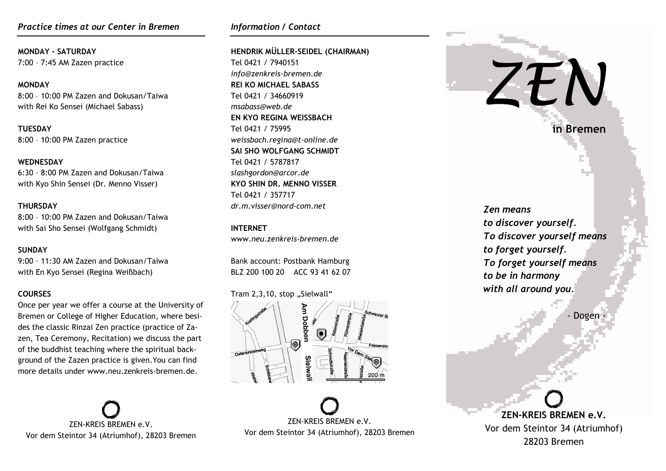## Practice times at our Center in Bremen

MONDAY - SATURDAY 7:00 – 7:45 AM Zazen practice

### MONDAY

8:00 – 10:00 PM Zazen and Dokusan/Taiwa with Rei Ko Sensei (Michael Sabass)

**TUESDAY** 8:00 – 10:00 PM Zazen practice

#### **WEDNESDAY**

6:30 – 8:00 PM Zazen and Dokusan/Taiwa with Kyo Shin Sensei (Dr. Menno Visser)

### **THURSDAY**

8:00 – 10:00 PM Zazen and Dokusan/Taiwa with Sai Sho Sensei (Wolfgang Schmidt)

#### **SUNDAY**

9:00 – 11:30 AM Zazen and Dokusan/Taiwa with En Kyo Sensei (Regina Weißbach)

#### **COURSES**

Once per year we offer a course at the University of Bremen or College of Higher Education, where besides the classic Rinzai Zen practice (practice of Zazen, Tea Ceremony, Recitation) we discuss the part of the buddhist teaching where the spiritual background of the Zazen practice is given.You can find more details under www.neu.zenkreis-bremen.de.

ZEN-KREIS BREMEN e.V. Vor dem Steintor 34 (Atriumhof), 28203 Bremen

## Information / Contact

HENDRIK MÜLLER-SEIDEL (CHAIRMAN)

Tel 0421 / 7940151 info@zenkreis-bremen.de REI KO MICHAEL SABASS Tel 0421 / 34660919 msabass@web.de EN KYO REGINA WEISSBACH Tel 0421 / 75995 weissbach.regina@t-online.de SAI SHO WOLFGANG SCHMIDT Tel 0421 / 5787817 slashgordon@arcor.de KYO SHIN DR. MENNO VISSER Tel 0421 / 357717 dr.m.visser@nord-com.net

#### INTERNET

www.neu.zenkreis-bremen.de

Bank account: Postbank Hamburg BLZ 200 100 20 ACC 93 41 62 07

#### Tram 2,3,10, stop "Sielwall"



ZEN-KREIS BREMEN e.V. Vor dem Steintor 34 (Atriumhof), 28203 Bremen ZEN

in Bremen

Zen means to discover yourself. To discover yourself means to forget yourself. To forget yourself means to be in harmony with all around you.

- Dogen -

ZEN-KREIS BREMEN e.V. Vor dem Steintor 34 (Atriumhof) 28203 Bremen